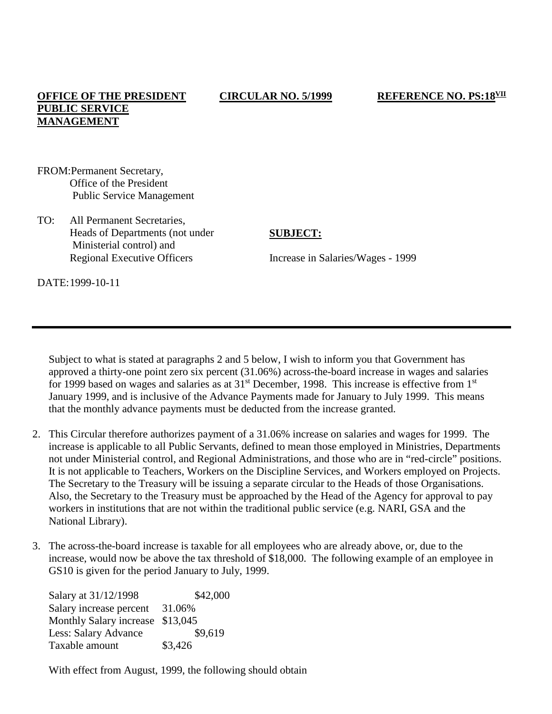## **OFFICE OF THE PRESIDENT PUBLIC SERVICE MANAGEMENT**

- FROM:Permanent Secretary, Office of the President Public Service Management
- TO: All Permanent Secretaries, Heads of Departments (not under Ministerial control) and Regional Executive Officers

#### **SUBJECT:**

Increase in Salaries/Wages - 1999

DATE:1999-10-11

Subject to what is stated at paragraphs 2 and 5 below, I wish to inform you that Government has approved a thirty-one point zero six percent (31.06%) across-the-board increase in wages and salaries for 1999 based on wages and salaries as at  $31<sup>st</sup>$  December, 1998. This increase is effective from  $1<sup>st</sup>$ January 1999, and is inclusive of the Advance Payments made for January to July 1999. This means that the monthly advance payments must be deducted from the increase granted.

- 2. This Circular therefore authorizes payment of a 31.06% increase on salaries and wages for 1999. The increase is applicable to all Public Servants, defined to mean those employed in Ministries, Departments not under Ministerial control, and Regional Administrations, and those who are in "red-circle" positions. It is not applicable to Teachers, Workers on the Discipline Services, and Workers employed on Projects. The Secretary to the Treasury will be issuing a separate circular to the Heads of those Organisations. Also, the Secretary to the Treasury must be approached by the Head of the Agency for approval to pay workers in institutions that are not within the traditional public service (e.g. NARI, GSA and the National Library).
- 3. The across-the-board increase is taxable for all employees who are already above, or, due to the increase, would now be above the tax threshold of \$18,000. The following example of an employee in GS10 is given for the period January to July, 1999.

Salary at 31/12/1998 \$42,000 Salary increase percent 31.06% Monthly Salary increase \$13,045 Less: Salary Advance \$9,619 Taxable amount \$3,426

With effect from August, 1999, the following should obtain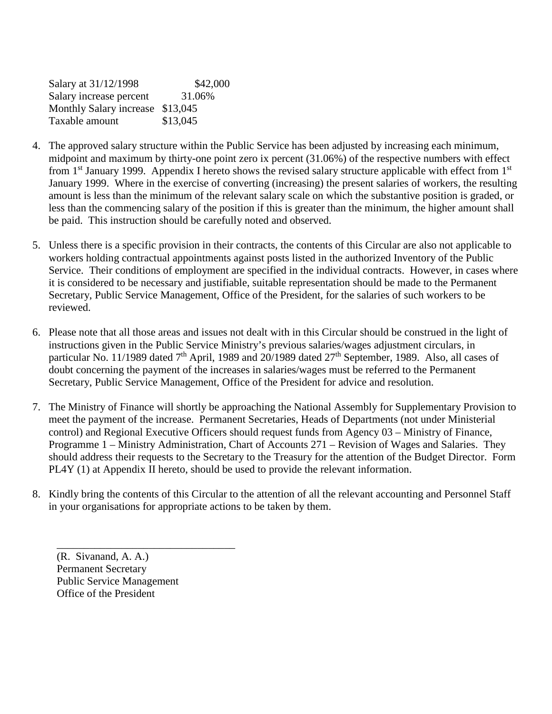| \$42,000                         |
|----------------------------------|
| 31.06%                           |
| Monthly Salary increase \$13,045 |
| \$13,045                         |
|                                  |

- 4. The approved salary structure within the Public Service has been adjusted by increasing each minimum, midpoint and maximum by thirty-one point zero ix percent (31.06%) of the respective numbers with effect from  $1<sup>st</sup>$  January 1999. Appendix I hereto shows the revised salary structure applicable with effect from  $1<sup>st</sup>$ January 1999. Where in the exercise of converting (increasing) the present salaries of workers, the resulting amount is less than the minimum of the relevant salary scale on which the substantive position is graded, or less than the commencing salary of the position if this is greater than the minimum, the higher amount shall be paid. This instruction should be carefully noted and observed.
- 5. Unless there is a specific provision in their contracts, the contents of this Circular are also not applicable to workers holding contractual appointments against posts listed in the authorized Inventory of the Public Service. Their conditions of employment are specified in the individual contracts. However, in cases where it is considered to be necessary and justifiable, suitable representation should be made to the Permanent Secretary, Public Service Management, Office of the President, for the salaries of such workers to be reviewed.
- 6. Please note that all those areas and issues not dealt with in this Circular should be construed in the light of instructions given in the Public Service Ministry's previous salaries/wages adjustment circulars, in particular No. 11/1989 dated 7<sup>th</sup> April, 1989 and 20/1989 dated 27<sup>th</sup> September, 1989. Also, all cases of doubt concerning the payment of the increases in salaries/wages must be referred to the Permanent Secretary, Public Service Management, Office of the President for advice and resolution.
- 7. The Ministry of Finance will shortly be approaching the National Assembly for Supplementary Provision to meet the payment of the increase. Permanent Secretaries, Heads of Departments (not under Ministerial control) and Regional Executive Officers should request funds from Agency 03 – Ministry of Finance, Programme 1 – Ministry Administration, Chart of Accounts 271 – Revision of Wages and Salaries. They should address their requests to the Secretary to the Treasury for the attention of the Budget Director. Form PL4Y (1) at Appendix II hereto, should be used to provide the relevant information.
- 8. Kindly bring the contents of this Circular to the attention of all the relevant accounting and Personnel Staff in your organisations for appropriate actions to be taken by them.

(R. Sivanand, A. A.) Permanent Secretary Public Service Management Office of the President

\_\_\_\_\_\_\_\_\_\_\_\_\_\_\_\_\_\_\_\_\_\_\_\_\_\_\_\_\_\_\_\_\_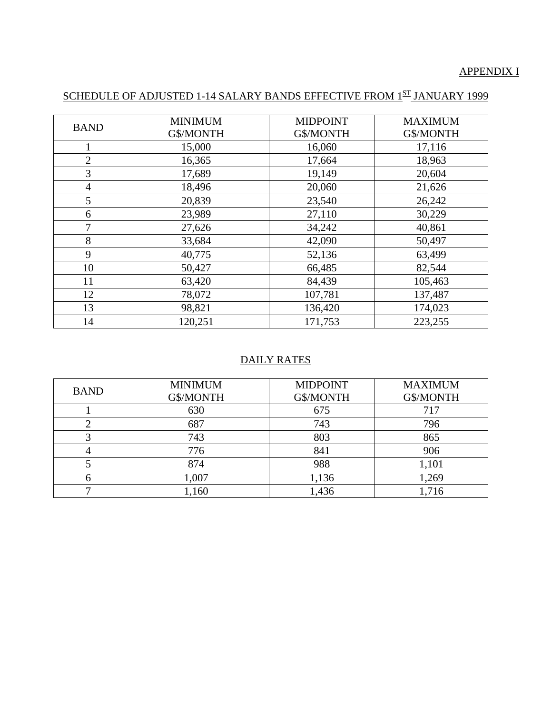## APPENDIX I

# SCHEDULE OF ADJUSTED 1-14 SALARY BANDS EFFECTIVE FROM 1ST JANUARY 1999

| <b>BAND</b>    | <b>MINIMUM</b> | <b>MIDPOINT</b><br>G\$/MONTH | <b>MAXIMUM</b><br>G\$/MONTH |
|----------------|----------------|------------------------------|-----------------------------|
|                | G\$/MONTH      |                              |                             |
| 1              | 15,000         | 16,060                       | 17,116                      |
| $\overline{2}$ | 16,365         | 17,664                       | 18,963                      |
| 3              | 17,689         | 19,149                       | 20,604                      |
| $\overline{4}$ | 18,496         | 20,060                       | 21,626                      |
| 5              | 20,839         | 23,540                       | 26,242                      |
| 6              | 23,989         | 27,110                       | 30,229                      |
| 7              | 27,626         | 34,242                       | 40,861                      |
| 8              | 33,684         | 42,090                       | 50,497                      |
| 9              | 40,775         | 52,136                       | 63,499                      |
| 10             | 50,427         | 66,485                       | 82,544                      |
| 11             | 63,420         | 84,439                       | 105,463                     |
| 12             | 78,072         | 107,781                      | 137,487                     |
| 13             | 98,821         | 136,420                      | 174,023                     |
| 14             | 120,251        | 171,753                      | 223,255                     |

## DAILY RATES

| <b>MINIMUM</b><br><b>BAND</b><br>G\$/MONTH |       | <b>MIDPOINT</b><br>G\$/MONTH |       |
|--------------------------------------------|-------|------------------------------|-------|
|                                            | 630   | 675                          | 717   |
|                                            | 687   | 743                          | 796   |
|                                            | 743   | 803                          | 865   |
|                                            | 776   | 841                          | 906   |
|                                            | 874   | 988                          | 1,101 |
|                                            | 1,007 | 1,136                        | 1,269 |
|                                            | 1,160 | 1,436                        | 1,716 |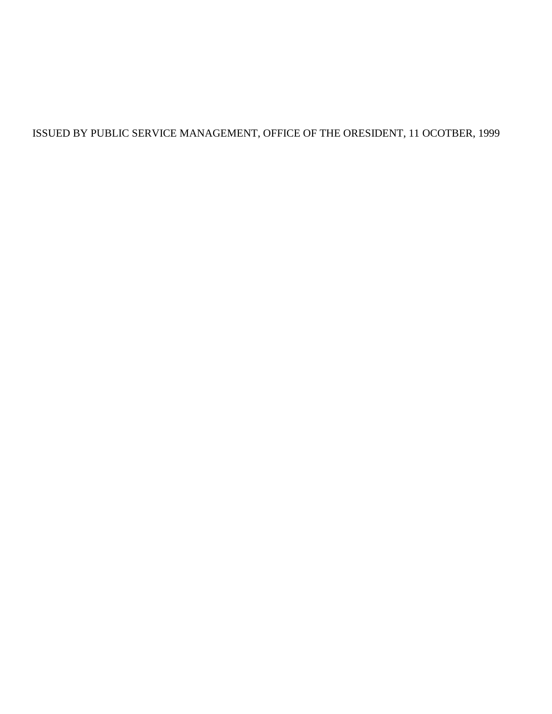ISSUED BY PUBLIC SERVICE MANAGEMENT, OFFICE OF THE ORESIDENT, 11 OCOTBER, 1999